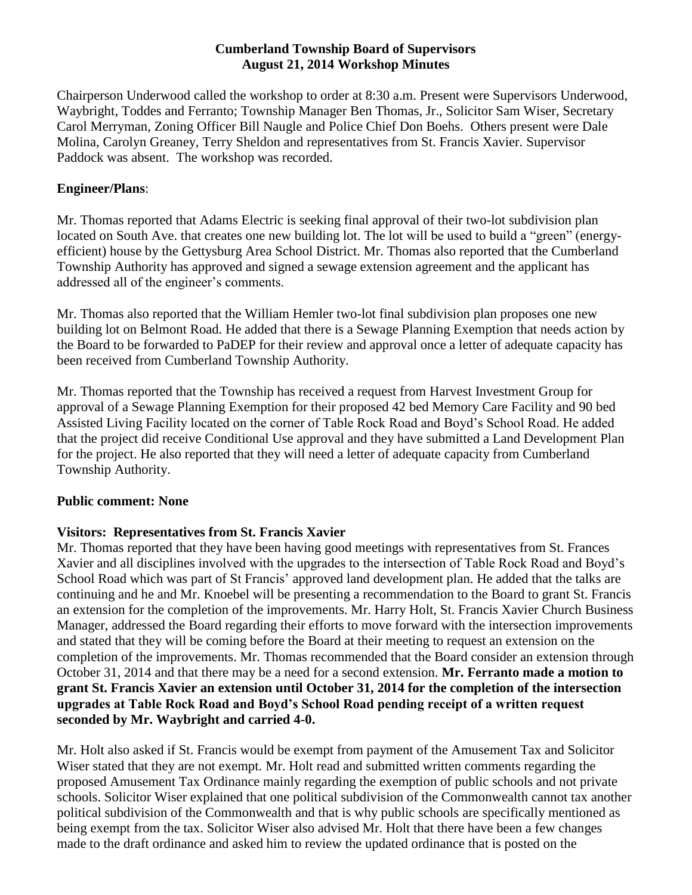#### **Cumberland Township Board of Supervisors August 21, 2014 Workshop Minutes**

Chairperson Underwood called the workshop to order at 8:30 a.m. Present were Supervisors Underwood, Waybright, Toddes and Ferranto; Township Manager Ben Thomas, Jr., Solicitor Sam Wiser, Secretary Carol Merryman, Zoning Officer Bill Naugle and Police Chief Don Boehs. Others present were Dale Molina, Carolyn Greaney, Terry Sheldon and representatives from St. Francis Xavier. Supervisor Paddock was absent. The workshop was recorded.

### **Engineer/Plans**:

Mr. Thomas reported that Adams Electric is seeking final approval of their two-lot subdivision plan located on South Ave. that creates one new building lot. The lot will be used to build a "green" (energyefficient) house by the Gettysburg Area School District. Mr. Thomas also reported that the Cumberland Township Authority has approved and signed a sewage extension agreement and the applicant has addressed all of the engineer's comments.

Mr. Thomas also reported that the William Hemler two-lot final subdivision plan proposes one new building lot on Belmont Road. He added that there is a Sewage Planning Exemption that needs action by the Board to be forwarded to PaDEP for their review and approval once a letter of adequate capacity has been received from Cumberland Township Authority.

Mr. Thomas reported that the Township has received a request from Harvest Investment Group for approval of a Sewage Planning Exemption for their proposed 42 bed Memory Care Facility and 90 bed Assisted Living Facility located on the corner of Table Rock Road and Boyd's School Road. He added that the project did receive Conditional Use approval and they have submitted a Land Development Plan for the project. He also reported that they will need a letter of adequate capacity from Cumberland Township Authority.

# **Public comment: None**

# **Visitors: Representatives from St. Francis Xavier**

Mr. Thomas reported that they have been having good meetings with representatives from St. Frances Xavier and all disciplines involved with the upgrades to the intersection of Table Rock Road and Boyd's School Road which was part of St Francis' approved land development plan. He added that the talks are continuing and he and Mr. Knoebel will be presenting a recommendation to the Board to grant St. Francis an extension for the completion of the improvements. Mr. Harry Holt, St. Francis Xavier Church Business Manager, addressed the Board regarding their efforts to move forward with the intersection improvements and stated that they will be coming before the Board at their meeting to request an extension on the completion of the improvements. Mr. Thomas recommended that the Board consider an extension through October 31, 2014 and that there may be a need for a second extension. **Mr. Ferranto made a motion to grant St. Francis Xavier an extension until October 31, 2014 for the completion of the intersection upgrades at Table Rock Road and Boyd's School Road pending receipt of a written request seconded by Mr. Waybright and carried 4-0.**

Mr. Holt also asked if St. Francis would be exempt from payment of the Amusement Tax and Solicitor Wiser stated that they are not exempt. Mr. Holt read and submitted written comments regarding the proposed Amusement Tax Ordinance mainly regarding the exemption of public schools and not private schools. Solicitor Wiser explained that one political subdivision of the Commonwealth cannot tax another political subdivision of the Commonwealth and that is why public schools are specifically mentioned as being exempt from the tax. Solicitor Wiser also advised Mr. Holt that there have been a few changes made to the draft ordinance and asked him to review the updated ordinance that is posted on the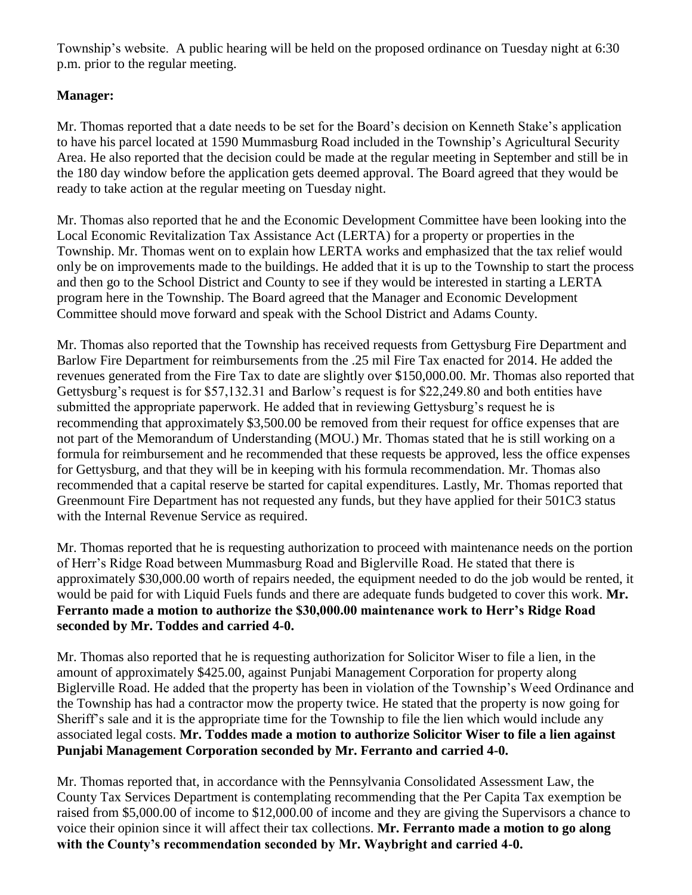Township's website. A public hearing will be held on the proposed ordinance on Tuesday night at 6:30 p.m. prior to the regular meeting.

# **Manager:**

Mr. Thomas reported that a date needs to be set for the Board's decision on Kenneth Stake's application to have his parcel located at 1590 Mummasburg Road included in the Township's Agricultural Security Area. He also reported that the decision could be made at the regular meeting in September and still be in the 180 day window before the application gets deemed approval. The Board agreed that they would be ready to take action at the regular meeting on Tuesday night.

Mr. Thomas also reported that he and the Economic Development Committee have been looking into the Local Economic Revitalization Tax Assistance Act (LERTA) for a property or properties in the Township. Mr. Thomas went on to explain how LERTA works and emphasized that the tax relief would only be on improvements made to the buildings. He added that it is up to the Township to start the process and then go to the School District and County to see if they would be interested in starting a LERTA program here in the Township. The Board agreed that the Manager and Economic Development Committee should move forward and speak with the School District and Adams County.

Mr. Thomas also reported that the Township has received requests from Gettysburg Fire Department and Barlow Fire Department for reimbursements from the .25 mil Fire Tax enacted for 2014. He added the revenues generated from the Fire Tax to date are slightly over \$150,000.00. Mr. Thomas also reported that Gettysburg's request is for \$57,132.31 and Barlow's request is for \$22,249.80 and both entities have submitted the appropriate paperwork. He added that in reviewing Gettysburg's request he is recommending that approximately \$3,500.00 be removed from their request for office expenses that are not part of the Memorandum of Understanding (MOU.) Mr. Thomas stated that he is still working on a formula for reimbursement and he recommended that these requests be approved, less the office expenses for Gettysburg, and that they will be in keeping with his formula recommendation. Mr. Thomas also recommended that a capital reserve be started for capital expenditures. Lastly, Mr. Thomas reported that Greenmount Fire Department has not requested any funds, but they have applied for their 501C3 status with the Internal Revenue Service as required.

Mr. Thomas reported that he is requesting authorization to proceed with maintenance needs on the portion of Herr's Ridge Road between Mummasburg Road and Biglerville Road. He stated that there is approximately \$30,000.00 worth of repairs needed, the equipment needed to do the job would be rented, it would be paid for with Liquid Fuels funds and there are adequate funds budgeted to cover this work. **Mr. Ferranto made a motion to authorize the \$30,000.00 maintenance work to Herr's Ridge Road seconded by Mr. Toddes and carried 4-0.**

Mr. Thomas also reported that he is requesting authorization for Solicitor Wiser to file a lien, in the amount of approximately \$425.00, against Punjabi Management Corporation for property along Biglerville Road. He added that the property has been in violation of the Township's Weed Ordinance and the Township has had a contractor mow the property twice. He stated that the property is now going for Sheriff's sale and it is the appropriate time for the Township to file the lien which would include any associated legal costs. **Mr. Toddes made a motion to authorize Solicitor Wiser to file a lien against Punjabi Management Corporation seconded by Mr. Ferranto and carried 4-0.**

Mr. Thomas reported that, in accordance with the Pennsylvania Consolidated Assessment Law, the County Tax Services Department is contemplating recommending that the Per Capita Tax exemption be raised from \$5,000.00 of income to \$12,000.00 of income and they are giving the Supervisors a chance to voice their opinion since it will affect their tax collections. **Mr. Ferranto made a motion to go along with the County's recommendation seconded by Mr. Waybright and carried 4-0.**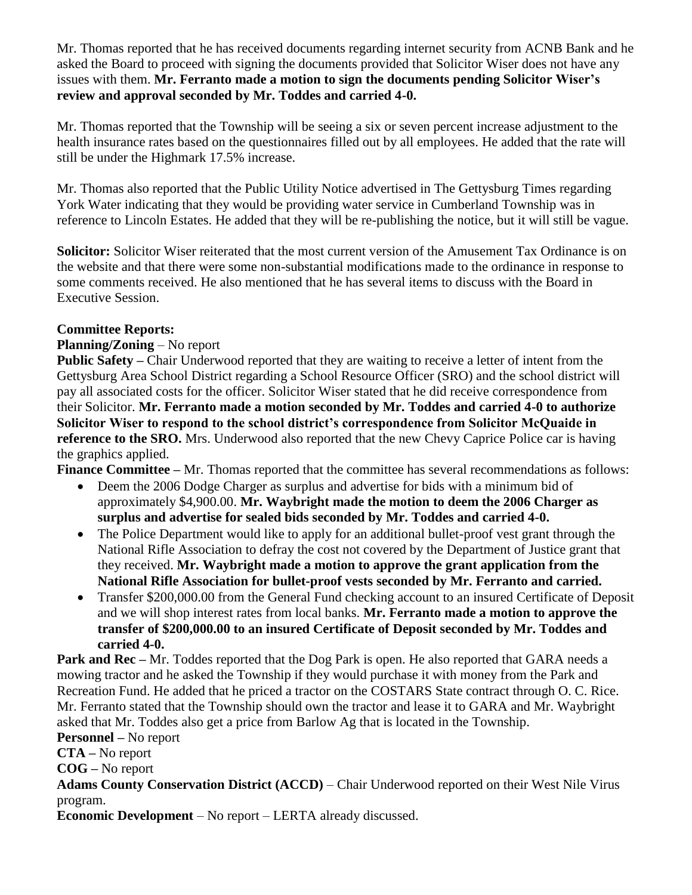Mr. Thomas reported that he has received documents regarding internet security from ACNB Bank and he asked the Board to proceed with signing the documents provided that Solicitor Wiser does not have any issues with them. **Mr. Ferranto made a motion to sign the documents pending Solicitor Wiser's review and approval seconded by Mr. Toddes and carried 4-0.**

Mr. Thomas reported that the Township will be seeing a six or seven percent increase adjustment to the health insurance rates based on the questionnaires filled out by all employees. He added that the rate will still be under the Highmark 17.5% increase.

Mr. Thomas also reported that the Public Utility Notice advertised in The Gettysburg Times regarding York Water indicating that they would be providing water service in Cumberland Township was in reference to Lincoln Estates. He added that they will be re-publishing the notice, but it will still be vague.

**Solicitor:** Solicitor Wiser reiterated that the most current version of the Amusement Tax Ordinance is on the website and that there were some non-substantial modifications made to the ordinance in response to some comments received. He also mentioned that he has several items to discuss with the Board in Executive Session.

### **Committee Reports:**

### **Planning/Zoning** – No report

**Public Safety –** Chair Underwood reported that they are waiting to receive a letter of intent from the Gettysburg Area School District regarding a School Resource Officer (SRO) and the school district will pay all associated costs for the officer. Solicitor Wiser stated that he did receive correspondence from their Solicitor. **Mr. Ferranto made a motion seconded by Mr. Toddes and carried 4-0 to authorize Solicitor Wiser to respond to the school district's correspondence from Solicitor McQuaide in reference to the SRO.** Mrs. Underwood also reported that the new Chevy Caprice Police car is having the graphics applied.

**Finance Committee –** Mr. Thomas reported that the committee has several recommendations as follows:

- Deem the 2006 Dodge Charger as surplus and advertise for bids with a minimum bid of approximately \$4,900.00. **Mr. Waybright made the motion to deem the 2006 Charger as surplus and advertise for sealed bids seconded by Mr. Toddes and carried 4-0.**
- The Police Department would like to apply for an additional bullet-proof vest grant through the National Rifle Association to defray the cost not covered by the Department of Justice grant that they received. **Mr. Waybright made a motion to approve the grant application from the National Rifle Association for bullet-proof vests seconded by Mr. Ferranto and carried.**
- Transfer \$200,000.00 from the General Fund checking account to an insured Certificate of Deposit and we will shop interest rates from local banks. **Mr. Ferranto made a motion to approve the transfer of \$200,000.00 to an insured Certificate of Deposit seconded by Mr. Toddes and carried 4-0.**

**Park and Rec** – Mr. Toddes reported that the Dog Park is open. He also reported that GARA needs a mowing tractor and he asked the Township if they would purchase it with money from the Park and Recreation Fund. He added that he priced a tractor on the COSTARS State contract through O. C. Rice. Mr. Ferranto stated that the Township should own the tractor and lease it to GARA and Mr. Waybright asked that Mr. Toddes also get a price from Barlow Ag that is located in the Township. **Personnel –** No report

**CTA –** No report

**COG –** No report

**Adams County Conservation District (ACCD)** – Chair Underwood reported on their West Nile Virus program.

**Economic Development** – No report – LERTA already discussed.